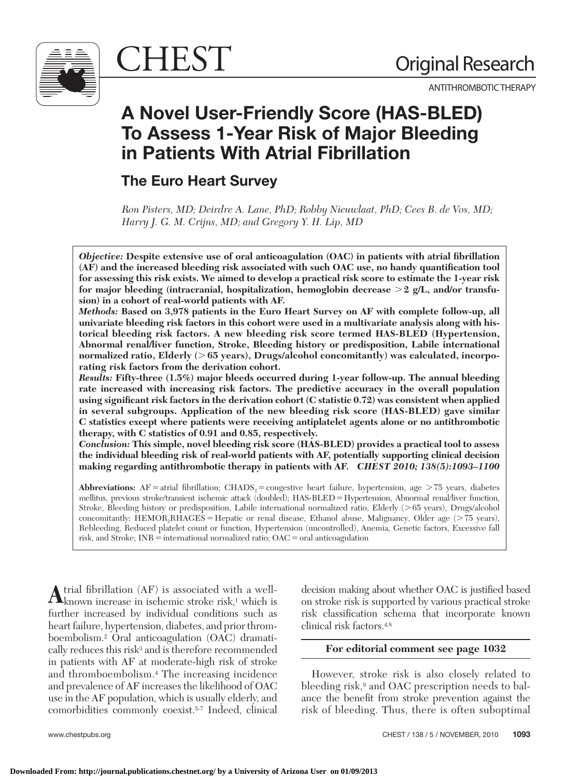

CHEST Original Research

ANTITHROMBOTIC THERAPY

# **A Novel User-Friendly Score (HAS-BLED) To Assess 1-Year Risk of Major Bleeding in Patients With Atrial Fibrillation**

## **The Euro Heart Survey**

 *Ron Pisters , MD ; Deirdre A. Lane , PhD ; Robby Nieuwlaat , PhD ; Cees B. de Vos , MD ;*  Harry J. G. M. Crijns, MD; and Gregory Y. H. Lip, MD

*Objective:* Despite extensive use of oral anticoagulation (OAC) in patients with atrial fibrillation (AF) and the increased bleeding risk associated with such OAC use, no handy quantification tool **for assessing this risk exists. We aimed to develop a practical risk score to estimate the 1-year risk for major bleeding (intracranial, hospitalization, hemoglobin decrease** . **2 g/L, and/or transfusion) in a cohort of real-world patients with AF.** 

*Methods:* **Based on 3,978 patients in the Euro Heart Survey on AF with complete follow-up, all univariate bleeding risk factors in this cohort were used in a multivariate analysis along with historical bleeding risk factors. A new bleeding risk score termed HAS-BLED (Hypertension, Abnormal renal/liver function, Stroke, Bleeding history or predisposition, Labile international normalized ratio, Elderly (** . **65 years), Drugs/alcohol concomitantly) was calculated, incorporating risk factors from the derivation cohort.** 

*Results:* **Fifty-three (1.5%) major bleeds occurred during 1-year follow-up. The annual bleeding rate increased with increasing risk factors. The predictive accuracy in the overall population**  using significant risk factors in the derivation cohort (C statistic 0.72) was consistent when applied **in several subgroups. Application of the new bleeding risk score (HAS-BLED) gave similar C statistics except where patients were receiving antiplatelet agents alone or no antithrombotic therapy, with C statistics of 0.91 and 0.85, respectively.** 

*Conclusion:* **This simple, novel bleeding risk score (HAS-BLED) provides a practical tool to assess the individual bleeding risk of real-world patients with AF, potentially supporting clinical decision making regarding antithrombotic therapy in patients with AF.** *CHEST 2010; 138(5):1093–1100* 

**Abbreviations:**  $AF =$  atrial fibrillation;  $CHADS<sub>2</sub> =$  congestive heart failure, hypertension, age  $> 75$  years, diabetes mellitus, previous stroke/transient ischemic attack (doubled); HAS-BLED = Hypertension, Abnormal renal/liver function, Stroke, Bleeding history or predisposition, Labile international normalized ratio, Elderly (>65 years), Drugs/alcohol concomitantly;  $HEMOR_2RHACES = Hepatic or renal disease, Ethanol abuse, Malignancy, Older age (> 75 years),$ Rebleeding, Reduced platelet count or function, Hypertension (uncontrolled), Anemia, Genetic factors, Excessive fall risk, and Stroke;  $INR =$  international normalized ratio;  $OAC =$  oral anticoagulation

**A**trial fibrillation  $(AF)$  is associated with a well-<br>known increase in ischemic stroke risk,<sup>1</sup> which is further increased by individual conditions such as heart failure, hypertension, diabetes, and prior thromboembolism. 2 Oral anticoagulation (OAC) dramatically reduces this risk<sup>3</sup> and is therefore recommended in patients with AF at moderate-high risk of stroke and thromboembolism. 4 The increasing incidence and prevalence of AF increases the likelihood of OAC use in the AF population, which is usually elderly, and comorbidities commonly coexist.<sup>5-7</sup> Indeed, clinical

decision making about whether OAC is justified based on stroke risk is supported by various practical stroke risk classification schema that incorporate known clinical risk factors. 4,8

### **For editorial comment see page 1032**

 However, stroke risk is also closely related to bleeding risk,<sup>9</sup> and OAC prescription needs to balance the benefit from stroke prevention against the risk of bleeding. Thus, there is often suboptimal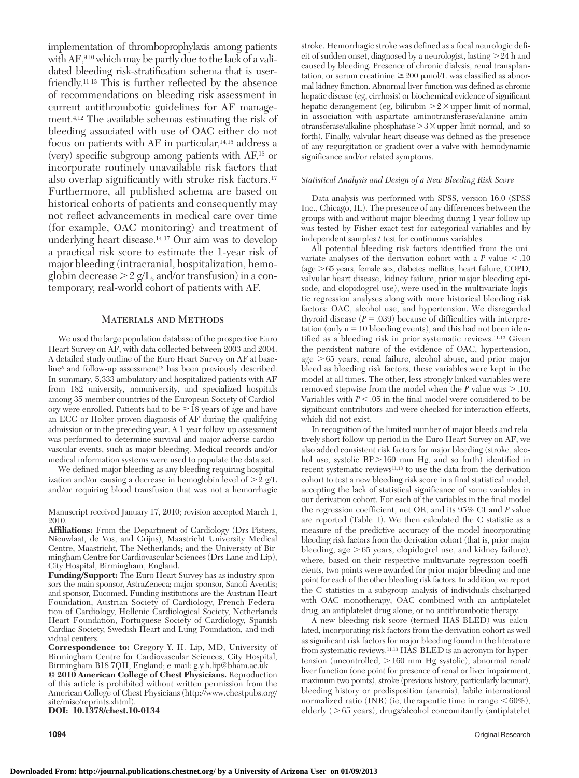implementation of thromboprophylaxis among patients with AF, 9,10 which may be partly due to the lack of a validated bleeding risk-stratification schema that is userfriendly.<sup>11-13</sup> This is further reflected by the absence of recommendations on bleeding risk assessment in current antithrombotic guidelines for AF management. 4,12 The available schemas estimating the risk of bleeding associated with use of OAC either do not focus on patients with AF in particular, 14,15 address a (very) specific subgroup among patients with  $AF$ ,<sup>16</sup> or incorporate routinely unavailable risk factors that also overlap significantly with stroke risk factors.<sup>17</sup> Furthermore, all published schema are based on historical cohorts of patients and consequently may not reflect advancements in medical care over time (for example, OAC monitoring) and treatment of underlying heart disease. 14-17 Our aim was to develop a practical risk score to estimate the 1-year risk of major bleeding (intracranial, hospitalization, hemoglobin decrease  $>$  2 g/L, and/or transfusion) in a contemporary, real-world cohort of patients with AF.

#### Materials and Methods

 We used the large population database of the prospective Euro Heart Survey on AF, with data collected between 2003 and 2004. A detailed study outline of the Euro Heart Survey on AF at baseline<sup>5</sup> and follow-up assessment<sup>18</sup> has been previously described. In summary, 5,333 ambulatory and hospitalized patients with AF from 182 university, nonuniversity, and specialized hospitals among 35 member countries of the European Society of Cardiology were enrolled. Patients had to be  $\geq 18$  years of age and have an ECG or Holter-proven diagnosis of AF during the qualifying admission or in the preceding year. A 1-year follow-up assessment was performed to determine survival and major adverse cardiovascular events, such as major bleeding. Medical records and/or medical information systems were used to populate the data set.

We defined major bleeding as any bleeding requiring hospitalization and/or causing a decrease in hemoglobin level of  $>2$  g/L and/or requiring blood transfusion that was not a hemorrhagic

**DOI: 10.1378/chest.10-0134** 

stroke. Hemorrhagic stroke was defined as a focal neurologic deficit of sudden onset, diagnosed by a neurologist, lasting  $>24$  h and caused by bleeding. Presence of chronic dialysis, renal transplantation, or serum creatinine  $\geq 200$   $\mu$ mol/L was classified as abnormal kidney function. Abnormal liver function was defined as chronic hepatic disease (eg, cirrhosis) or biochemical evidence of significant hepatic derangement (eg, bilirubin  $>2 \times$ upper limit of normal, in association with aspartate aminotransferase/alanine aminotransferase/alkaline phosphatase $>3\times$ upper limit normal, and so forth). Finally, valvular heart disease was defined as the presence of any regurgitation or gradient over a valve with hemodynamic significance and/or related symptoms.

#### *Statistical Analysis and Design of a New Bleeding Risk Score*

 Data analysis was performed with SPSS, version 16.0 (SPSS Inc., Chicago, IL). The presence of any differences between the groups with and without major bleeding during 1-year follow-up was tested by Fisher exact test for categorical variables and by independent samples *t* test for continuous variables.

All potential bleeding risk factors identified from the univariate analyses of the derivation cohort with a  $P$  value  $\lt$ .10  $(age > 65 years, female sex, diabetes mellitus, heart failure, COPD,$ valvular heart disease, kidney failure, prior major bleeding episode, and clopidogrel use), were used in the multivariate logistic regression analyses along with more historical bleeding risk factors: OAC, alcohol use, and hypertension. We disregarded thyroid disease  $(P = .039)$  because of difficulties with interpretation (only  $n = 10$  bleeding events), and this had not been identified as a bleeding risk in prior systematic reviews.<sup>11-13</sup> Given the persistent nature of the evidence of OAC, hypertension,  $age > 65 years$ , renal failure, alcohol abuse, and prior major bleed as bleeding risk factors, these variables were kept in the model at all times. The other, less strongly linked variables were removed stepwise from the model when the  $P$  value was  $> 0.10$ . Variables with  $P < .05$  in the final model were considered to be significant contributors and were checked for interaction effects, which did not exist.

 In recognition of the limited number of major bleeds and relatively short follow-up period in the Euro Heart Survey on AF, we also added consistent risk factors for major bleeding (stroke, alcohol use, systolic  $BP > 160$  mm Hg, and so forth) identified in recent systematic reviews<sup>11,13</sup> to use the data from the derivation cohort to test a new bleeding risk score in a final statistical model, accepting the lack of statistical significance of some variables in our derivation cohort. For each of the variables in the final model the regression coefficient, net OR, and its 95% CI and *P* value are reported (Table 1). We then calculated the C statistic as a measure of the predictive accuracy of the model incorporating bleeding risk factors from the derivation cohort (that is, prior major bleeding, age  $>65$  years, clopidogrel use, and kidney failure), where, based on their respective multivariate regression coefficients, two points were awarded for prior major bleeding and one point for each of the other bleeding risk factors. In addition, we report the C statistics in a subgroup analysis of individuals discharged with OAC monotherapy, OAC combined with an antiplatelet drug, an antiplatelet drug alone, or no antithrombotic therapy.

 A new bleeding risk score (termed HAS-BLED) was calculated, incorporating risk factors from the derivation cohort as well as significant risk factors for major bleeding found in the literature from systematic reviews. 11,13 HAS-BLED is an acronym for hypertension (uncontrolled,  $> 160$  mm Hg systolic), abnormal renal/ liver function (one point for presence of renal or liver impairment, maximum two points), stroke (previous history, particularly lacunar), bleeding history or predisposition (anemia), labile international normalized ratio (INR) (ie, therapeutic time in range  $< 60\%$ ), elderly  $($  > 65 years), drugs/alcohol concomitantly (antiplatelet

Manuscript received January 17, 2010; revision accepted March 1, 2010.

Affiliations: From the Department of Cardiology (Drs Pisters, Nieuwlaat, de Vos, and Crijns), Maastricht University Medical Centre, Maastricht, The Netherlands; and the University of Birmingham Centre for Cardiovascular Sciences (Drs Lane and Lip), City Hospital, Birmingham, England.

**Funding/Support:** The Euro Heart Survey has as industry sponsors the main sponsor, AstraZeneca; major sponsor, Sanofi -Aventis; and sponsor, Eucomed. Funding institutions are the Austrian Heart Foundation, Austrian Society of Cardiology, French Federation of Cardiology, Hellenic Cardiological Society, Netherlands Heart Foundation, Portuguese Society of Cardiology, Spanish Cardiac Society, Swedish Heart and Lung Foundation, and individual centers.

**Correspondence to:** Gregory Y. H. Lip, MD, University of Birmingham Centre for Cardiovascular Sciences, City Hospital, Birmingham B18 7QH, England; e-mail: g.y.h.lip@bham.ac.uk

**<sup>© 2010</sup> American College of Chest Physicians.** Reproduction of this article is prohibited without written permission from the American College of Chest Physicians (http://www.chestpubs.org/ site/misc/reprints.xhtml).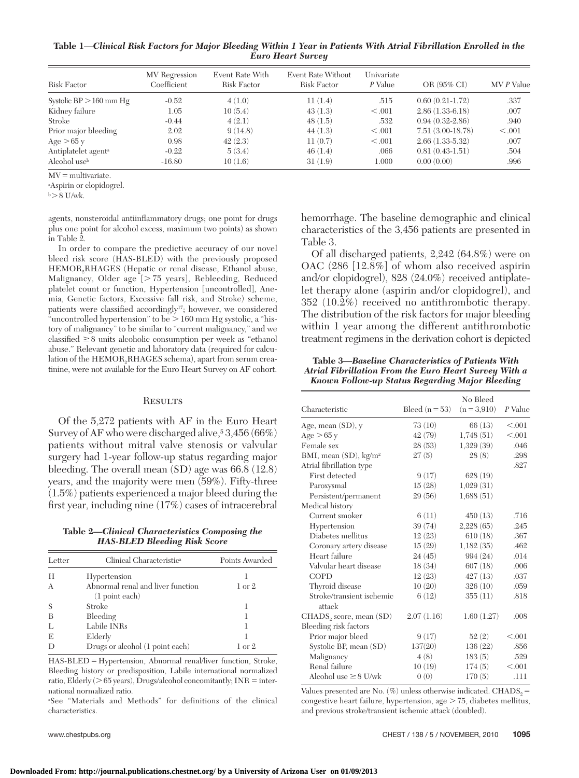**Table 1***— Clinical Risk Factors for Major Bleeding Within 1 Year in Patients With Atrial Fibrillation Enrolled in the Euro Heart Survey* 

| Risk Factor                     | MV Regression<br>Coefficient | Event Rate With<br>Risk Factor | Event Rate Without<br>Risk Factor | Univariate<br>P Value | OR (95% CI)         | MV P Value |
|---------------------------------|------------------------------|--------------------------------|-----------------------------------|-----------------------|---------------------|------------|
| Systolic $BP > 160$ mm $Hg$     | $-0.52$                      | 4(1.0)                         | 11(1.4)                           | .515                  | $0.60(0.21-1.72)$   | .337       |
| Kidney failure                  | 1.05                         | 10(5.4)                        | 43(1.3)                           | < 0.001               | $2.86(1.33-6.18)$   | .007       |
| Stroke                          | $-0.44$                      | 4(2.1)                         | 48(1.5)                           | .532                  | $0.94(0.32 - 2.86)$ | .940       |
| Prior major bleeding            | 2.02                         | 9(14.8)                        | 44(1.3)                           | < 0.001               | 7.51 (3.00-18.78)   | < 0.001    |
| $Age > 65$ y                    | 0.98                         | 42(2.3)                        | 11(0.7)                           | < 0.001               | $2.66(1.33-5.32)$   | .007       |
| Antiplatelet agent <sup>a</sup> | $-0.22$                      | 5(3.4)                         | 46(1.4)                           | .066                  | $0.81(0.43-1.51)$   | .504       |
| Alcohol use <sup>b</sup>        | $-16.80$                     | 10(1.6)                        | 31(1.9)                           | 1.000                 | 0.00(0.00)          | .996       |

 $MV = multivariate$ .

a Aspirin or clopidogrel.

 $b > 8$  U/wk.

agents, nonsteroidal antiinflammatory drugs; one point for drugs plus one point for alcohol excess, maximum two points) as shown in Table 2 .

 In order to compare the predictive accuracy of our novel bleed risk score (HAS-BLED) with the previously proposed HEMOR<sub>3</sub>RHAGES (Hepatic or renal disease, Ethanol abuse, Malignancy, Older age [>75 years], Rebleeding, Reduced platelet count or function, Hypertension [uncontrolled], Anemia, Genetic factors, Excessive fall risk, and Stroke) scheme, patients were classified accordingly<sup>17</sup>; however, we considered "uncontrolled hypertension" to be  $> 160$  mm Hg systolic, a "history of malignancy" to be similar to "current malignancy," and we classified  $\geq$ 8 units alcoholic consumption per week as "ethanol abuse." Relevant genetic and laboratory data (required for calculation of the  $HEMOR_2RHAGES$  schema), apart from serum creatinine, were not available for the Euro Heart Survey on AF cohort.

#### **RESULTS**

 Of the 5,272 patients with AF in the Euro Heart Survey of AF who were discharged alive,<sup>5</sup> 3,456 (66%) patients without mitral valve stenosis or valvular surgery had 1-year follow-up status regarding major bleeding. The overall mean (SD) age was 66.8 (12.8) years, and the majority were men (59%). Fifty-three (1.5%) patients experienced a major bleed during the first year, including nine  $(17%)$  cases of intracerebral

**Table 2***— Clinical Characteristics Composing the HAS-BLED Bleeding Risk Score* 

| Letter         | Clinical Characteristic <sup>a</sup>                | Points Awarded    |
|----------------|-----------------------------------------------------|-------------------|
| H              | Hypertension                                        |                   |
| $\overline{A}$ | Abnormal renal and liver function<br>(1 point each) | $1 \text{ or } 2$ |
| S              | Stroke                                              |                   |
| B              | Bleeding                                            |                   |
| L              | Labile INRs                                         |                   |
| F.             | Elderly                                             |                   |
| D              | Drugs or alcohol (1 point each)                     | $1 \text{ or } 2$ |

HAS-BLED = Hypertension, Abnormal renal/liver function, Stroke, Bleeding history or predisposition, Labile international normalized ratio, Elderly ( $>65$  years), Drugs/alcohol concomitantly;  $INR =$  international normalized ratio.

a See "Materials and Methods" for definitions of the clinical characteristics.

hemorrhage. The baseline demographic and clinical characteristics of the 3,456 patients are presented in Table 3.

 Of all discharged patients, 2,242 (64.8%) were on OAC (286 [12.8%] of whom also received aspirin and/or clopidogrel), 828 (24.0%) received antiplatelet therapy alone (aspirin and/or clopidogrel), and 352 (10.2%) received no antithrombotic therapy. The distribution of the risk factors for major bleeding within 1 year among the different antithrombotic treatment regimens in the derivation cohort is depicted

#### **Table 3—** *Baseline Characteristics of Patients With Atrial Fibrillation From the Euro Heart Survey With a Known Follow-up Status Regarding Major Bleeding*

|                                     |                | No Bleed    |           |
|-------------------------------------|----------------|-------------|-----------|
| Characteristic                      | Bleed $(n=53)$ | $(n=3,910)$ | $P$ Value |
| Age, mean (SD), y                   | 73(10)         | 66(13)      | < 0.001   |
| Age $>65$ y                         | 42 (79)        | 1,748(51)   | < 0.001   |
| Female sex                          | 28(53)         | 1,329(39)   | .046      |
| BMI, mean (SD), kg/m <sup>2</sup>   | 27(5)          | 28(8)       | .298      |
| Atrial fibrillation type            |                |             | .827      |
| First detected                      | 9(17)          | 628(19)     |           |
| Paroxysmal                          | 15(28)         | 1,029(31)   |           |
| Persistent/permanent                | 29(56)         | 1,688(51)   |           |
| Medical history                     |                |             |           |
| Current smoker                      | 6(11)          | 450(13)     | .716      |
| Hypertension                        | 39(74)         | 2,228(65)   | .245      |
| Diabetes mellitus                   | 12(23)         | 610(18)     | .367      |
| Coronary artery disease             | 15(29)         | 1,182(35)   | .462      |
| Heart failure                       | 24(45)         | 994 (24)    | .014      |
| Valvular heart disease              | 18(34)         | 607(18)     | .006      |
| COPD                                | 12(23)         | 427(13)     | .037      |
| Thyroid disease                     | 10(20)         | 326(10)     | .059      |
| Stroke/transient ischemic<br>attack | 6(12)          | 355(11)     | .818      |
| CHADS <sub>2</sub> score, mean (SD) | 2.07(1.16)     | 1.60(1.27)  | .008      |
| Bleeding risk factors               |                |             |           |
| Prior major bleed                   | 9(17)          | 52(2)       | < 0.001   |
| Systolic BP, mean (SD)              | 137(20)        | 136(22)     | .856      |
| Malignancy                          | 4(8)           | 183(5)      | .529      |
| Renal failure                       | 10(19)         | 174(5)      | < 0.001   |
| Alcohol use $\geq 8$ U/wk           | 0(0)           | 170(5)      | .111      |

Values presented are No. (%) unless otherwise indicated. CHADS<sub>2</sub> = congestive heart failure, hypertension, age  $> 75$ , diabetes mellitus, and previous stroke/transient ischemic attack (doubled).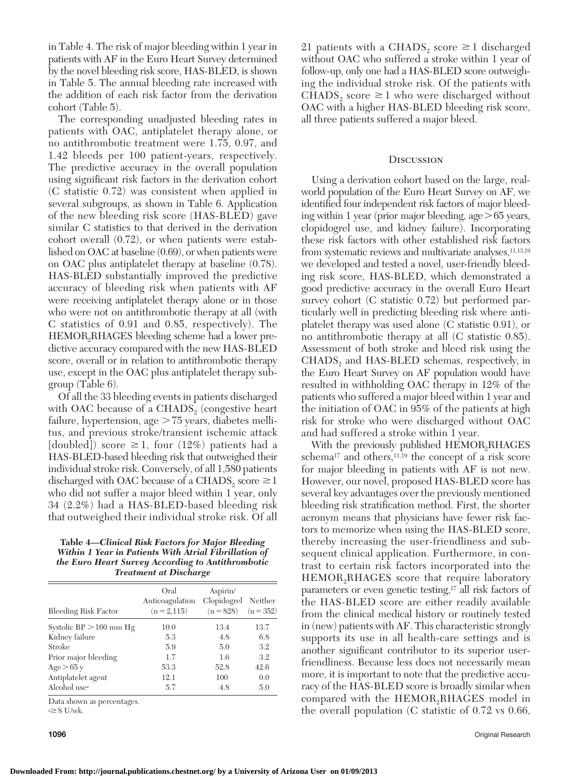in Table 4 . The risk of major bleeding within 1 year in patients with AF in the Euro Heart Survey determined by the novel bleeding risk score, HAS-BLED, is shown in Table 5. The annual bleeding rate increased with the addition of each risk factor from the derivation cohort (Table 5).

 The corresponding unadjusted bleeding rates in patients with OAC, antiplatelet therapy alone, or no antithrombotic treatment were 1.75, 0.97, and 1.42 bleeds per 100 patient-years, respectively. The predictive accuracy in the overall population using significant risk factors in the derivation cohort (C statistic 0.72) was consistent when applied in several subgroups, as shown in Table 6. Application of the new bleeding risk score (HAS-BLED) gave similar C statistics to that derived in the derivation cohort overall (0.72), or when patients were established on OAC at baseline (0.69), or when patients were on OAC plus antiplatelet therapy at baseline (0.78). HAS-BLED substantially improved the predictive accuracy of bleeding risk when patients with AF were receiving antiplatelet therapy alone or in those who were not on antithrombotic therapy at all (with C statistics of 0.91 and 0.85, respectively). The HEMOR<sub>2</sub>RHAGES bleeding scheme had a lower predictive accuracy compared with the new HAS-BLED score, overall or in relation to antithrombotic therapy use, except in the OAC plus antiplatelet therapy subgroup (Table 6).

 Of all the 33 bleeding events in patients discharged with OAC because of a  $\mathrm{CHADS}_2$  (congestive heart failure, hypertension, age  $> 75$  years, diabetes mellitus, and previous stroke/transient ischemic attack [doubled]) score  $\geq 1$ , four (12%) patients had a HAS-BLED-based bleeding risk that outweighed their individual stroke risk. Conversely, of all 1,580 patients discharged with OAC because of a CHADS<sub>2</sub> score  $\geq 1$ who did not suffer a major bleed within 1 year, only 34 (2.2%) had a HAS-BLED-based bleeding risk that outweighed their individual stroke risk. Of all

**Table 4***— Clinical Risk Factors for Major Bleeding Within 1 Year in Patients With Atrial Fibrillation of the Euro Heart Survey According to Antithrombotic Treatment at Discharge* 

| Bleeding Risk Factor        | Oral<br>Anticoagulation<br>$(n = 2, 115)$ | Aspirin/<br>Clopidogrel Neither<br>$(n = 828)$ | $(n = 352)$ |
|-----------------------------|-------------------------------------------|------------------------------------------------|-------------|
| Systolic $BP > 160$ mm $Hg$ | 10.0                                      | 13.4                                           | 13.7        |
| Kidney failure              | 5.3                                       | 4.8                                            | 6.8         |
| Stroke                      | 5.9                                       | 5.0                                            | 3.2         |
| Prior major bleeding        | 1.7                                       | 1.6                                            | 3.2         |
| $Age > 65$ y                | 53.3                                      | 52.8                                           | 42.6        |
| Antiplatelet agent          | 12.1                                      | 100                                            | 0.0         |
| Alcohol use <sup>a</sup>    | 5.7                                       | 4.8                                            | 5.0         |
|                             |                                           |                                                |             |

Data shown as percentages.

 $a \geq 8$  U/wk.

21 patients with a CHADS<sub>2</sub> score  $\geq 1$  discharged without OAC who suffered a stroke within 1 year of follow-up, only one had a HAS-BLED score outweighing the individual stroke risk. Of the patients with CHADS<sub>2</sub> score  $\geq 1$  who were discharged without OAC with a higher HAS-BLED bleeding risk score, all three patients suffered a major bleed.

#### **DISCUSSION**

 Using a derivation cohort based on the large, realworld population of the Euro Heart Survey on AF, we identified four independent risk factors of major bleeding within 1 year (prior major bleeding,  $age \geq 65$  years, clopidogrel use, and kidney failure). Incorporating these risk factors with other established risk factors from systematic reviews and multivariate analyses, 11,13,19 we developed and tested a novel, user-friendly bleeding risk score, HAS-BLED, which demonstrated a good predictive accuracy in the overall Euro Heart survey cohort (C statistic 0.72) but performed particularly well in predicting bleeding risk where antiplatelet therapy was used alone (C statistic 0.91), or no antithrombotic therapy at all (C statistic 0.85). Assessment of both stroke and bleed risk using the CHADS, and HAS-BLED schemas, respectively, in the Euro Heart Survey on AF population would have resulted in withholding OAC therapy in 12% of the patients who suffered a major bleed within 1 year and the initiation of OAC in 95% of the patients at high risk for stroke who were discharged without OAC and had suffered a stroke within 1 year.

With the previously published HEMOR<sub>2</sub>RHAGES schema<sup>17</sup> and others,<sup>11,19</sup> the concept of a risk score for major bleeding in patients with AF is not new. However, our novel, proposed HAS-BLED score has several key advantages over the previously mentioned bleeding risk stratification method. First, the shorter acronym means that physicians have fewer risk factors to memorize when using the HAS-BLED score, thereby increasing the user-friendliness and subsequent clinical application. Furthermore, in contrast to certain risk factors incorporated into the  $HEMOR<sub>2</sub>RHAGES$  score that require laboratory parameters or even genetic testing, 17 all risk factors of the HAS-BLED score are either readily available from the clinical medical history or routinely tested in (new) patients with AF. This characteristic strongly supports its use in all health-care settings and is another significant contributor to its superior userfriendliness. Because less does not necessarily mean more, it is important to note that the predictive accuracy of the HAS-BLED score is broadly similar when compared with the HEMOR<sub>2</sub>RHAGES model in the overall population (C statistic of 0.72 vs 0.66,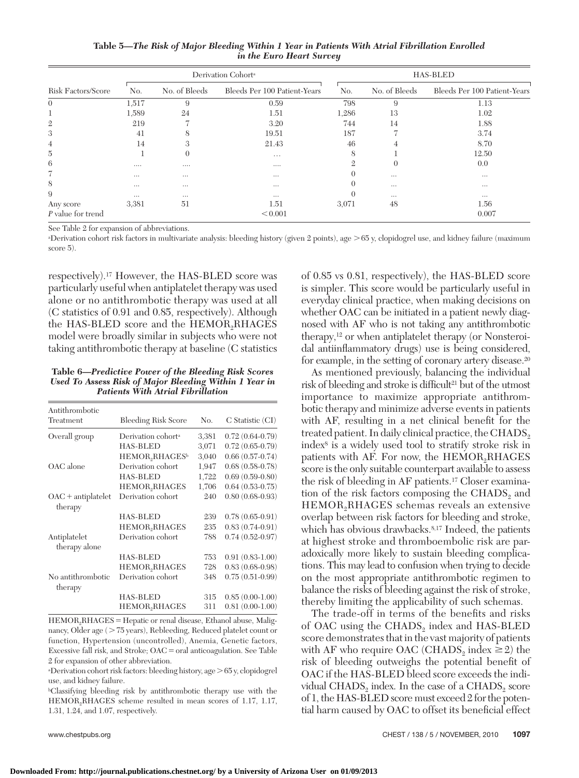**Table 5—** *The Risk of Major Bleeding Within 1 Year in Patients With Atrial Fibrillation Enrolled in the Euro Heart Survey* 

|                     | Derivation Cohort <sup>a</sup> |               |                              | <b>HAS-BLED</b> |               |                              |
|---------------------|--------------------------------|---------------|------------------------------|-----------------|---------------|------------------------------|
| Risk Factors/Score  | No.                            | No. of Bleeds | Bleeds Per 100 Patient-Years | N <sub>o</sub>  | No. of Bleeds | Bleeds Per 100 Patient-Years |
| $\overline{0}$      | 1,517                          | 9             | 0.59                         | 798             | 9             | 1.13                         |
|                     | 1,589                          | 24            | 1.51                         | 1,286           | 13            | 1.02                         |
| $\overline{2}$      | 219                            |               | 3.20                         | 744             | 14            | 1.88                         |
| 3                   | 41                             | 8             | 19.51                        | 187             |               | 3.74                         |
| 4                   | 14                             | 3             | 21.43                        | 46              | 4             | 8.70                         |
| 5                   |                                | $\Omega$      | $\cdots$                     | 8               |               | 12.50                        |
| 6                   |                                |               |                              | 2               | $\theta$      | 0.0                          |
|                     | $\cdots$                       |               |                              | $\theta$        | $\cdots$      | $\cdots$                     |
| 8                   |                                |               | $\cdots$                     |                 | $\cdots$      | $\cdots$                     |
| 9                   | $\cdots$                       |               |                              | $\theta$        | $\cdots$      | $\cdots$                     |
| Any score           | 3,381                          | 51            | 1.51                         | 3,071           | 48            | 1.56                         |
| $P$ value for trend |                                |               | < 0.001                      |                 |               | 0.007                        |

See Table 2 for expansion of abbreviations.

<sup>a</sup>Derivation cohort risk factors in multivariate analysis: bleeding history (given 2 points), age > 65 y, clopidogrel use, and kidney failure (maximum score 5).

respectively). 17 However, the HAS-BLED score was particularly useful when antiplatelet therapy was used alone or no antithrombotic therapy was used at all (C statistics of 0.91 and 0.85, respectively). Although the HAS-BLED score and the  $HEMOR_{2}RHAGES$ model were broadly similar in subjects who were not taking antithrombotic therapy at baseline (C statistics

**Table 6—** *Predictive Power of the Bleeding Risk Scores Used To Assess Risk of Major Bleeding Within 1 Year in Patients With Atrial Fibrillation* 

| Antithrombotic<br>Treatment     | <b>Bleeding Risk Score</b>              | No.   | C Statistic (CI)  |  |  |
|---------------------------------|-----------------------------------------|-------|-------------------|--|--|
| Overall group                   | Derivation cohort <sup>a</sup><br>3,381 |       | $0.72(0.64-0.79)$ |  |  |
|                                 | <b>HAS-BLED</b>                         | 3,071 | $0.72(0.65-0.79)$ |  |  |
|                                 | HEMOR <sub>o</sub> RHAGES <sup>b</sup>  | 3,040 | $0.66(0.57-0.74)$ |  |  |
| OAC alone                       | Derivation cohort                       | 1,947 | $0.68(0.58-0.78)$ |  |  |
|                                 | <b>HAS-BLED</b>                         | 1,722 | $0.69(0.59-0.80)$ |  |  |
|                                 | HEMOR,RHAGES                            | 1,706 | $0.64(0.53-0.75)$ |  |  |
| $OAC + antiplatelet$<br>therapy | Derivation cohort                       | 240   | $0.80(0.68-0.93)$ |  |  |
|                                 | <b>HAS-BLED</b>                         | 239   | $0.78(0.65-0.91)$ |  |  |
|                                 | HEMOR,RHAGES                            | 235   | $0.83(0.74-0.91)$ |  |  |
| Antiplatelet<br>therapy alone   | Derivation cohort                       | 788   | $0.74(0.52-0.97)$ |  |  |
|                                 | <b>HAS-BLED</b>                         | 753   | $0.91(0.83-1.00)$ |  |  |
|                                 | HEMOR,RHAGES                            | 728   | $0.83(0.68-0.98)$ |  |  |
| No antithrombotic<br>therapy    | Derivation cohort                       | 348   | $0.75(0.51-0.99)$ |  |  |
|                                 | <b>HAS-BLED</b>                         | 315   | $0.85(0.00-1.00)$ |  |  |
|                                 | HEMOR,RHAGES                            | 311   | $0.81(0.00-1.00)$ |  |  |

HEMOR<sub>2</sub>RHAGES = Hepatic or renal disease, Ethanol abuse, Malignancy, Older age (> 75 years), Rebleeding, Reduced platelet count or function, Hypertension (uncontrolled), Anemia, Genetic factors, Excessive fall risk, and Stroke;  $OAC = \text{oral anticoagulation}$ . See Table 2 for expansion of other abbreviation.

<sup>a</sup>Derivation cohort risk factors: bleeding history, age > 65 y, clopidogrel use, and kidney failure.

b Classifying bleeding risk by antithrombotic therapy use with the HEMOR<sub>2</sub>RHAGES scheme resulted in mean scores of 1.17, 1.17, 1.31, 1.24, and 1.07, respectively.

of 0.85 vs 0.81, respectively), the HAS-BLED score is simpler. This score would be particularly useful in everyday clinical practice, when making decisions on whether OAC can be initiated in a patient newly diagnosed with AF who is not taking any antithrombotic therapy, 12 or when antiplatelet therapy (or Nonsteroidal antiinflammatory drugs) use is being considered, for example, in the setting of coronary artery disease. 20

 As mentioned previously, balancing the individual risk of bleeding and stroke is difficult<sup>21</sup> but of the utmost importance to maximize appropriate antithrombotic therapy and minimize adverse events in patients with AF, resulting in a net clinical benefit for the treated patient. In daily clinical practice, the  $\text{CHADS}_2$ index<sup>8</sup> is a widely used tool to stratify stroke risk in patients with AF. For now, the  $HEMOR_{2}RHACES$ score is the only suitable counterpart available to assess the risk of bleeding in AF patients. 17 Closer examination of the risk factors composing the  $\text{CHADS}_2$  and HEMOR<sub>2</sub>RHAGES schemas reveals an extensive overlap between risk factors for bleeding and stroke, which has obvious drawbacks.<sup>8,17</sup> Indeed, the patients at highest stroke and thromboembolic risk are paradoxically more likely to sustain bleeding complications. This may lead to confusion when trying to decide on the most appropriate antithrombotic regimen to balance the risks of bleeding against the risk of stroke, thereby limiting the applicability of such schemas.

The trade-off in terms of the benefits and risks of OAC using the CHADS<sub>2</sub> index and HAS-BLED score demonstrates that in the vast majority of patients with AF who require OAC (CHADS<sub>2</sub> index  $\geq$ 2) the risk of bleeding outweighs the potential benefit of OAC if the HAS-BLED bleed score exceeds the individual  $\text{CHADS}_2$  index. In the case of a  $\text{CHADS}_2$  score of 1, the HAS-BLED score must exceed 2 for the potential harm caused by OAC to offset its beneficial effect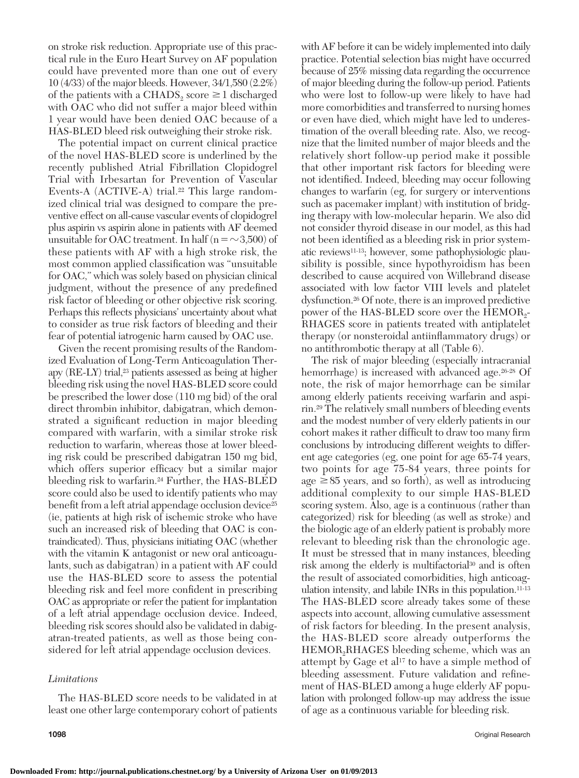on stroke risk reduction. Appropriate use of this practical rule in the Euro Heart Survey on AF population could have prevented more than one out of every 10 (4/33) of the major bleeds. However, 34/1,580 (2.2%) of the patients with a CHADS<sub>2</sub> score  $\geq 1$  discharged with OAC who did not suffer a major bleed within 1 year would have been denied OAC because of a HAS-BLED bleed risk outweighing their stroke risk.

 The potential impact on current clinical practice of the novel HAS-BLED score is underlined by the recently published Atrial Fibrillation Clopidogrel Trial with Irbesartan for Prevention of Vascular Events-A  $(ACTIVE-A)$  trial.<sup>22</sup> This large randomized clinical trial was designed to compare the preventive effect on all-cause vascular events of clopidogrel plus aspirin vs aspirin alone in patients with AF deemed unsuitable for OAC treatment. In half ( $n = \sim 3,500$ ) of these patients with AF with a high stroke risk, the most common applied classification was "unsuitable" for OAC," which was solely based on physician clinical judgment, without the presence of any predefined risk factor of bleeding or other objective risk scoring. Perhaps this reflects physicians' uncertainty about what to consider as true risk factors of bleeding and their fear of potential iatrogenic harm caused by OAC use.

 Given the recent promising results of the Randomized Evaluation of Long-Term Anticoagulation Therapy  $(RE-LY)$  trial,<sup>23</sup> patients assessed as being at higher bleeding risk using the novel HAS-BLED score could be prescribed the lower dose (110 mg bid) of the oral direct thrombin inhibitor, dabigatran, which demonstrated a significant reduction in major bleeding compared with warfarin, with a similar stroke risk reduction to warfarin, whereas those at lower bleeding risk could be prescribed dabigatran 150 mg bid, which offers superior efficacy but a similar major bleeding risk to warfarin.<sup>24</sup> Further, the HAS-BLED score could also be used to identify patients who may benefit from a left atrial appendage occlusion device<sup>25</sup> (ie, patients at high risk of ischemic stroke who have such an increased risk of bleeding that OAC is contraindicated). Thus, physicians initiating OAC (whether with the vitamin K antagonist or new oral anticoagulants, such as dabigatran) in a patient with AF could use the HAS-BLED score to assess the potential bleeding risk and feel more confident in prescribing OAC as appropriate or refer the patient for implantation of a left atrial appendage occlusion device. Indeed, bleeding risk scores should also be validated in dabigatran-treated patients, as well as those being considered for left atrial appendage occlusion devices.

#### *Limitations*

 The HAS-BLED score needs to be validated in at least one other large contemporary cohort of patients

with AF before it can be widely implemented into daily practice. Potential selection bias might have occurred because of 25% missing data regarding the occurrence of major bleeding during the follow-up period. Patients who were lost to follow-up were likely to have had more comorbidities and transferred to nursing homes or even have died, which might have led to underestimation of the overall bleeding rate. Also, we recognize that the limited number of major bleeds and the relatively short follow-up period make it possible that other important risk factors for bleeding were not identified. Indeed, bleeding may occur following changes to warfarin (eg, for surgery or interventions such as pacemaker implant) with institution of bridging therapy with low-molecular heparin. We also did not consider thyroid disease in our model, as this had not been identified as a bleeding risk in prior systematic reviews<sup>11-13</sup>; however, some pathophysiologic plausibility is possible, since hypothyroidism has been described to cause acquired von Willebrand disease associated with low factor VIII levels and platelet dysfunction. 26 Of note, there is an improved predictive power of the HAS-BLED score over the  $HEMOR_{2}$ -RHAGES score in patients treated with antiplatelet therapy (or nonsteroidal antiinflammatory drugs) or no antithrombotic therapy at all (Table 6).

 The risk of major bleeding (especially intracranial hemorrhage) is increased with advanced age.<sup>26-28</sup> Of note, the risk of major hemorrhage can be similar among elderly patients receiving warfarin and aspirin. 29 The relatively small numbers of bleeding events and the modest number of very elderly patients in our cohort makes it rather difficult to draw too many firm conclusions by introducing different weights to different age categories (eg, one point for age 65-74 years, two points for age 75-84 years, three points for  $age \geq 85 \text{ years}, and so forth, as well as introducing$ additional complexity to our simple HAS-BLED scoring system. Also, age is a continuous (rather than categorized) risk for bleeding (as well as stroke) and the biologic age of an elderly patient is probably more relevant to bleeding risk than the chronologic age. It must be stressed that in many instances, bleeding risk among the elderly is multifactorial<sup>30</sup> and is often the result of associated comorbidities, high anticoagulation intensity, and labile INRs in this population. 11-13 The HAS-BLED score already takes some of these aspects into account, allowing cumulative assessment of risk factors for bleeding. In the present analysis, the HAS-BLED score already outperforms the HEMOR<sub>2</sub>RHAGES bleeding scheme, which was an attempt by Gage et al<sup>17</sup> to have a simple method of bleeding assessment. Future validation and refinement of HAS-BLED among a huge elderly AF population with prolonged follow-up may address the issue of age as a continuous variable for bleeding risk.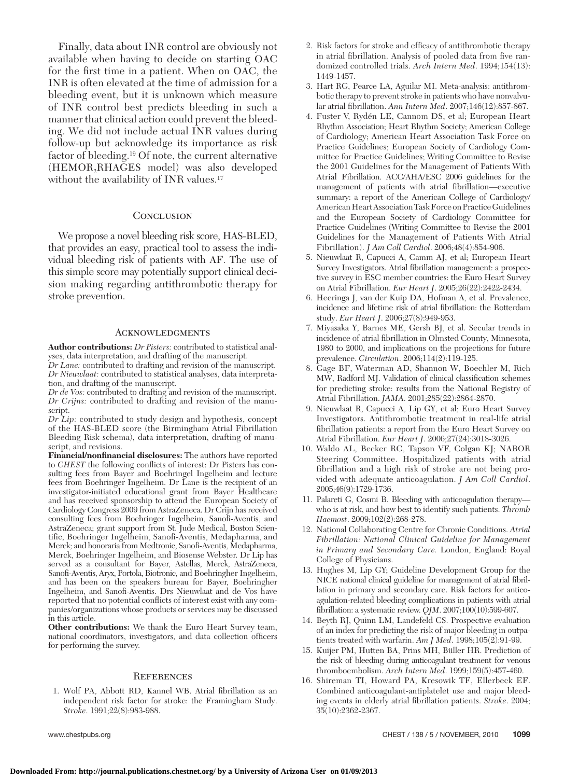Finally, data about INR control are obviously not available when having to decide on starting OAC for the first time in a patient. When on OAC, the INR is often elevated at the time of admission for a bleeding event, but it is unknown which measure of INR control best predicts bleeding in such a manner that clinical action could prevent the bleeding. We did not include actual INR values during follow-up but acknowledge its importance as risk factor of bleeding. 19 Of note, the current alternative  $(HEMOR<sub>2</sub>RHAGES \text{ model})$  was also developed without the availability of INR values.<sup>17</sup>

#### **CONCLUSION**

 We propose a novel bleeding risk score, HAS-BLED, that provides an easy, practical tool to assess the individual bleeding risk of patients with AF. The use of this simple score may potentially support clinical decision making regarding antithrombotic therapy for stroke prevention.

#### **ACKNOWLEDGMENTS**

**Author contributions:** *Dr Pisters:* contributed to statistical analyses, data interpretation, and drafting of the manuscript.

*Dr Lane:* contributed to drafting and revision of the manuscript. *Dr Nieuwlaat:* contributed to statistical analyses, data interpretation, and drafting of the manuscript.

*Dr de Vos:* contributed to drafting and revision of the manuscript. *Dr Crijns:* contributed to drafting and revision of the manuscript.

*Dr Lip:* contributed to study design and hypothesis, concept of the HAS-BLED score (the Birmingham Atrial Fibrillation Bleeding Risk schema), data interpretation, drafting of manuscript, and revisions.

Financial/nonfinancial disclosures: The authors have reported to *CHEST* the following conflicts of interest: Dr Pisters has consulting fees from Bayer and Boehringel Ingelheim and lecture fees from Boehringer Ingelheim. Dr Lane is the recipient of an investigator-initiated educational grant from Bayer Healthcare and has received sponsorship to attend the European Society of Cardiology Congress 2009 from AstraZeneca. Dr Crijn has received consulting fees from Boehringer Ingelheim, Sanofi -Aventis, and AstraZeneca; grant support from St. Jude Medical, Boston Scientific, Boehringer Ingelheim, Sanofi-Aventis, Medapharma, and Merck; and honoraria from Medtronic, Sanofi -Aventis, Medapharma, Merck, Boehringer Ingelheim, and Biosense Webster. Dr Lip has served as a consultant for Bayer, Astellas, Merck, AstraZeneca, Sanofi -Aventis, Aryx, Portola, Biotronic, and Boehringher Ingelheim, and has been on the speakers bureau for Bayer, Boehringher Ingelheim, and Sanofi -Aventis. Drs Nieuwlaat and de Vos have reported that no potential conflicts of interest exist with any companies/organizations whose products or services may be discussed in this article.

**Other contributions:** We thank the Euro Heart Survey team, national coordinators, investigators, and data collection officers for performing the survey.

#### **REFERENCES**

1. Wolf PA, Abbott RD, Kannel WB. Atrial fibrillation as an independent risk factor for stroke: the Framingham Study. *Stroke*. 1991;22(8):983-988.

- 2. Risk factors for stroke and efficacy of antithrombotic therapy in atrial fibrillation. Analysis of pooled data from five randomized controlled trials. *Arch Intern Med.* 1994;154(13): 1449-1457.
- 3 . Hart RG , Pearce LA , Aguilar MI . Meta-analysis: antithrombotic therapy to prevent stroke in patients who have nonvalvular atrial fibrillation. *Ann Intern Med.* 2007;146(12):857-867.
- 4. Fuster V, Rydén LE, Cannom DS, et al; European Heart Rhythm Association; Heart Rhythm Society; American College of Cardiology; American Heart Association Task Force on Practice Guidelines; European Society of Cardiology Committee for Practice Guidelines; Writing Committee to Revise the 2001 Guidelines for the Management of Patients With Atrial Fibrillation . ACC/AHA/ESC 2006 guidelines for the management of patients with atrial fibrillation—executive summary: a report of the American College of Cardiology/ American Heart Association Task Force on Practice Guidelines and the European Society of Cardiology Committee for Practice Guidelines (Writing Committee to Revise the 2001 Guidelines for the Management of Patients With Atrial Fibrillation). *J Am Coll Cardiol*. 2006;48(4):854-906.
- 5. Nieuwlaat R, Capucci A, Camm AJ, et al; European Heart Survey Investigators. Atrial fibrillation management: a prospective survey in ESC member countries: the Euro Heart Survey on Atrial Fibrillation. *Eur Heart J.* 2005;26(22):2422-2434.
- 6. Heeringa J, van der Kuip DA, Hofman A, et al. Prevalence, incidence and lifetime risk of atrial fibrillation: the Rotterdam study. *Eur Heart J.* 2006;27(8):949-953.
- 7. Miyasaka Y, Barnes ME, Gersh BJ, et al. Secular trends in incidence of atrial fibrillation in Olmsted County, Minnesota, 1980 to 2000, and implications on the projections for future prevalence. *Circulation*. 2006;114(2):119-125.
- 8. Gage BF, Waterman AD, Shannon W, Boechler M, Rich MW, Radford MJ. Validation of clinical classification schemes for predicting stroke: results from the National Registry of Atrial Fibrillation. *JAMA*. 2001;285(22):2864-2870.
- 9. Nieuwlaat R, Capucci A, Lip GY, et al; Euro Heart Survey Investigators . Antithrombotic treatment in real-life atrial fibrillation patients: a report from the Euro Heart Survey on Atrial Fibrillation. *Eur Heart J.* 2006;27(24):3018-3026.
- 10. Waldo AL, Becker RC, Tapson VF, Colgan KJ; NABOR Steering Committee. Hospitalized patients with atrial fibrillation and a high risk of stroke are not being provided with adequate anticoagulation . *J Am Coll Cardiol* . 2005;46(9):1729-1736.
- 11. Palareti G, Cosmi B. Bleeding with anticoagulation therapywho is at risk, and how best to identify such patients . *Thromb*  Haemost. 2009;102(2):268-278.
- 12. National Collaborating Centre for Chronic Conditions . *Atrial Fibrillation: National Clinical Guideline for Management in Primary and Secondary Care.* London, England: Royal College of Physicians.
- 13. Hughes M, Lip GY; Guideline Development Group for the NICE national clinical guideline for management of atrial fibrillation in primary and secondary care . Risk factors for anticoagulation-related bleeding complications in patients with atrial fibrillation: a systematic review. *QJM*. 2007;100(10):599-607.
- 14. Beyth RJ, Quinn LM, Landefeld CS. Prospective evaluation of an index for predicting the risk of major bleeding in outpatients treated with warfarin. *Am J Med.* 1998;105(2):91-99.
- 15. Kuijer PM, Hutten BA, Prins MH, Büller HR. Prediction of the risk of bleeding during anticoagulant treatment for venous thromboembolism. *Arch Intern Med.* 1999;159(5):457-460.
- 16. Shireman TI, Howard PA, Kresowik TF, Ellerbeck EF. Combined anticoagulant-antiplatelet use and major bleeding events in elderly atrial fibrillation patients. Stroke. 2004; 35(10):2362-2367.